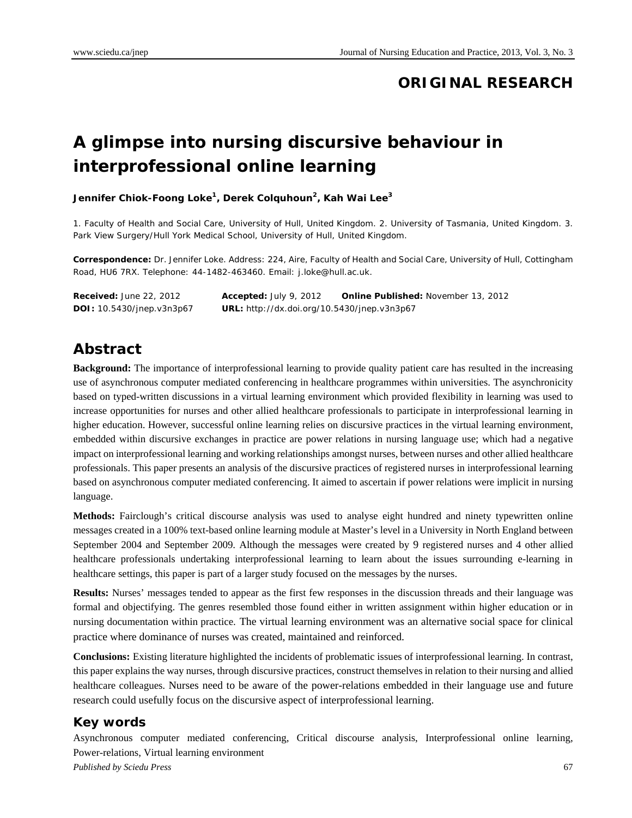# **ORIGINAL RESEARCH**

# **A glimpse into nursing discursive behaviour in interprofessional online learning**

#### **Jennifer Chiok-Foong Loke1, Derek Colquhoun2, Kah Wai Lee3**

1. Faculty of Health and Social Care, University of Hull, United Kingdom. 2. University of Tasmania, United Kingdom. 3. Park View Surgery/Hull York Medical School, University of Hull, United Kingdom.

**Correspondence:** Dr. Jennifer Loke. Address: 224, Aire, Faculty of Health and Social Care, University of Hull, Cottingham Road, HU6 7RX. Telephone: 44-1482-463460. Email: j.loke@hull.ac.uk.

| <b>Received:</b> June 22, 2012   | Accepted: July 9, 2012                      | <b>Online Published:</b> November 13, 2012 |
|----------------------------------|---------------------------------------------|--------------------------------------------|
| <b>DOI:</b> 10.5430/jnep.v3n3p67 | URL: http://dx.doi.org/10.5430/jnep.v3n3p67 |                                            |

### **Abstract**

**Background:** The importance of interprofessional learning to provide quality patient care has resulted in the increasing use of asynchronous computer mediated conferencing in healthcare programmes within universities. The asynchronicity based on typed-written discussions in a virtual learning environment which provided flexibility in learning was used to increase opportunities for nurses and other allied healthcare professionals to participate in interprofessional learning in higher education. However, successful online learning relies on discursive practices in the virtual learning environment, embedded within discursive exchanges in practice are power relations in nursing language use; which had a negative impact on interprofessional learning and working relationships amongst nurses, between nurses and other allied healthcare professionals. This paper presents an analysis of the discursive practices of registered nurses in interprofessional learning based on asynchronous computer mediated conferencing. It aimed to ascertain if power relations were implicit in nursing language.

**Methods:** Fairclough's critical discourse analysis was used to analyse eight hundred and ninety typewritten online messages created in a 100% text-based online learning module at Master's level in a University in North England between September 2004 and September 2009. Although the messages were created by 9 registered nurses and 4 other allied healthcare professionals undertaking interprofessional learning to learn about the issues surrounding e-learning in healthcare settings, this paper is part of a larger study focused on the messages by the nurses.

**Results:** Nurses' messages tended to appear as the first few responses in the discussion threads and their language was formal and objectifying. The genres resembled those found either in written assignment within higher education or in nursing documentation within practice. The virtual learning environment was an alternative social space for clinical practice where dominance of nurses was created, maintained and reinforced.

**Conclusions:** Existing literature highlighted the incidents of problematic issues of interprofessional learning. In contrast, this paper explains the way nurses, through discursive practices, construct themselves in relation to their nursing and allied healthcare colleagues. Nurses need to be aware of the power-relations embedded in their language use and future research could usefully focus on the discursive aspect of interprofessional learning.

#### **Key words**

*Published by Sciedu Press* 67 Asynchronous computer mediated conferencing, Critical discourse analysis, Interprofessional online learning, Power-relations, Virtual learning environment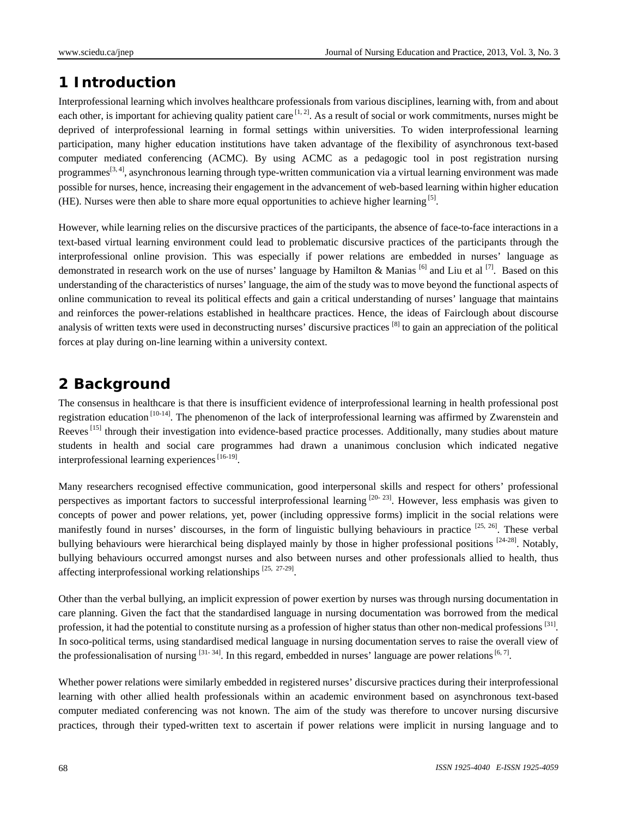# **1 Introduction**

Interprofessional learning which involves healthcare professionals from various disciplines, learning with, from and about each other, is important for achieving quality patient care  $[1, 2]$ . As a result of social or work commitments, nurses might be deprived of interprofessional learning in formal settings within universities. To widen interprofessional learning participation, many higher education institutions have taken advantage of the flexibility of asynchronous text-based computer mediated conferencing (ACMC). By using ACMC as a pedagogic tool in post registration nursing programmes<sup>[3, 4]</sup>, asynchronous learning through type-written communication via a virtual learning environment was made possible for nurses, hence, increasing their engagement in the advancement of web-based learning within higher education (HE). Nurses were then able to share more equal opportunities to achieve higher learning  $[5]$ .

However, while learning relies on the discursive practices of the participants, the absence of face-to-face interactions in a text-based virtual learning environment could lead to problematic discursive practices of the participants through the interprofessional online provision. This was especially if power relations are embedded in nurses' language as demonstrated in research work on the use of nurses' language by Hamilton & Manias  $^{[6]}$  and Liu et al  $^{[7]}$ . Based on this understanding of the characteristics of nurses' language, the aim of the study was to move beyond the functional aspects of online communication to reveal its political effects and gain a critical understanding of nurses' language that maintains and reinforces the power-relations established in healthcare practices. Hence, the ideas of Fairclough about discourse analysis of written texts were used in deconstructing nurses' discursive practices <sup>[8]</sup> to gain an appreciation of the political forces at play during on-line learning within a university context.

# **2 Background**

The consensus in healthcare is that there is insufficient evidence of interprofessional learning in health professional post registration education  $[10-14]$ . The phenomenon of the lack of interprofessional learning was affirmed by Zwarenstein and Reeves<sup>[15]</sup> through their investigation into evidence-based practice processes. Additionally, many studies about mature students in health and social care programmes had drawn a unanimous conclusion which indicated negative interprofessional learning experiences [16-19].

Many researchers recognised effective communication, good interpersonal skills and respect for others' professional perspectives as important factors to successful interprofessional learning [20-23]. However, less emphasis was given to concepts of power and power relations, yet, power (including oppressive forms) implicit in the social relations were manifestly found in nurses' discourses, in the form of linguistic bullying behaviours in practice [25, 26]. These verbal bullying behaviours were hierarchical being displayed mainly by those in higher professional positions [24-28]. Notably, bullying behaviours occurred amongst nurses and also between nurses and other professionals allied to health, thus affecting interprofessional working relationships  $[25, 27-29]$ .

Other than the verbal bullying, an implicit expression of power exertion by nurses was through nursing documentation in care planning. Given the fact that the standardised language in nursing documentation was borrowed from the medical profession, it had the potential to constitute nursing as a profession of higher status than other non-medical professions [31]. In soco-political terms, using standardised medical language in nursing documentation serves to raise the overall view of the professionalisation of nursing  $[31-34]$ . In this regard, embedded in nurses' language are power relations  $[6, 7]$ .

Whether power relations were similarly embedded in registered nurses' discursive practices during their interprofessional learning with other allied health professionals within an academic environment based on asynchronous text-based computer mediated conferencing was not known. The aim of the study was therefore to uncover nursing discursive practices, through their typed-written text to ascertain if power relations were implicit in nursing language and to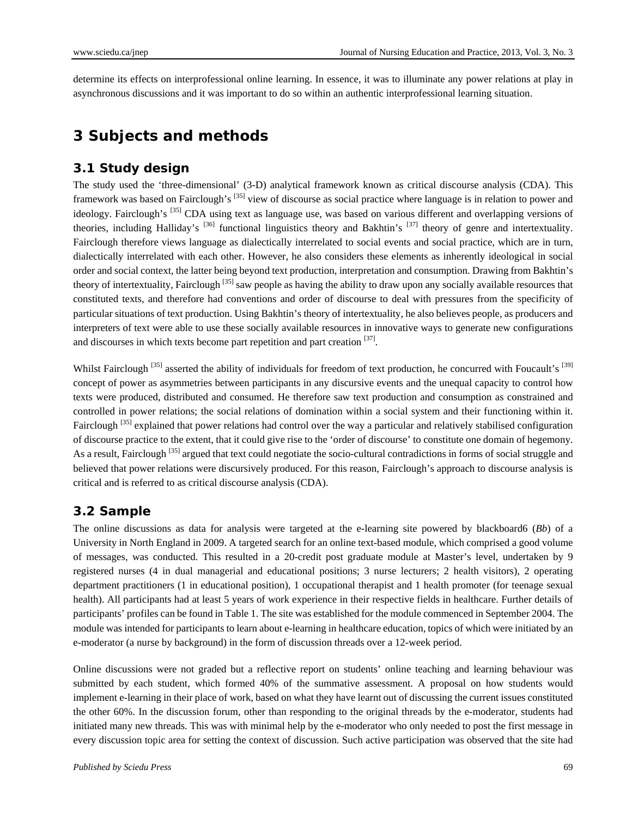determine its effects on interprofessional online learning. In essence, it was to illuminate any power relations at play in asynchronous discussions and it was important to do so within an authentic interprofessional learning situation.

# **3 Subjects and methods**

### **3.1 Study design**

The study used the 'three-dimensional' (3-D) analytical framework known as critical discourse analysis (CDA). This framework was based on Fairclough's <sup>[35]</sup> view of discourse as social practice where language is in relation to power and ideology. Fairclough's <sup>[35]</sup> CDA using text as language use, was based on various different and overlapping versions of theories, including Halliday's  $[36]$  functional linguistics theory and Bakhtin's  $[37]$  theory of genre and intertextuality. Fairclough therefore views language as dialectically interrelated to social events and social practice, which are in turn, dialectically interrelated with each other. However, he also considers these elements as inherently ideological in social order and social context, the latter being beyond text production, interpretation and consumption. Drawing from Bakhtin's theory of intertextuality, Fairclough<sup>[35]</sup> saw people as having the ability to draw upon any socially available resources that constituted texts, and therefore had conventions and order of discourse to deal with pressures from the specificity of particular situations of text production. Using Bakhtin's theory of intertextuality, he also believes people, as producers and interpreters of text were able to use these socially available resources in innovative ways to generate new configurations and discourses in which texts become part repetition and part creation [37].

Whilst Fairclough  $^{[35]}$  asserted the ability of individuals for freedom of text production, he concurred with Foucault's  $^{[39]}$ concept of power as asymmetries between participants in any discursive events and the unequal capacity to control how texts were produced, distributed and consumed. He therefore saw text production and consumption as constrained and controlled in power relations; the social relations of domination within a social system and their functioning within it. Fairclough <sup>[35]</sup> explained that power relations had control over the way a particular and relatively stabilised configuration of discourse practice to the extent, that it could give rise to the 'order of discourse' to constitute one domain of hegemony. As a result, Fairclough<sup> [35]</sup> argued that text could negotiate the socio-cultural contradictions in forms of social struggle and believed that power relations were discursively produced. For this reason, Fairclough's approach to discourse analysis is critical and is referred to as critical discourse analysis (CDA).

### **3.2 Sample**

The online discussions as data for analysis were targeted at the e-learning site powered by blackboard6 (*Bb*) of a University in North England in 2009. A targeted search for an online text-based module, which comprised a good volume of messages, was conducted. This resulted in a 20-credit post graduate module at Master's level, undertaken by 9 registered nurses (4 in dual managerial and educational positions; 3 nurse lecturers; 2 health visitors), 2 operating department practitioners (1 in educational position), 1 occupational therapist and 1 health promoter (for teenage sexual health). All participants had at least 5 years of work experience in their respective fields in healthcare. Further details of participants' profiles can be found in Table 1. The site was established for the module commenced in September 2004. The module was intended for participants to learn about e-learning in healthcare education, topics of which were initiated by an e-moderator (a nurse by background) in the form of discussion threads over a 12-week period.

Online discussions were not graded but a reflective report on students' online teaching and learning behaviour was submitted by each student, which formed 40% of the summative assessment. A proposal on how students would implement e-learning in their place of work, based on what they have learnt out of discussing the current issues constituted the other 60%. In the discussion forum, other than responding to the original threads by the e-moderator, students had initiated many new threads. This was with minimal help by the e-moderator who only needed to post the first message in every discussion topic area for setting the context of discussion. Such active participation was observed that the site had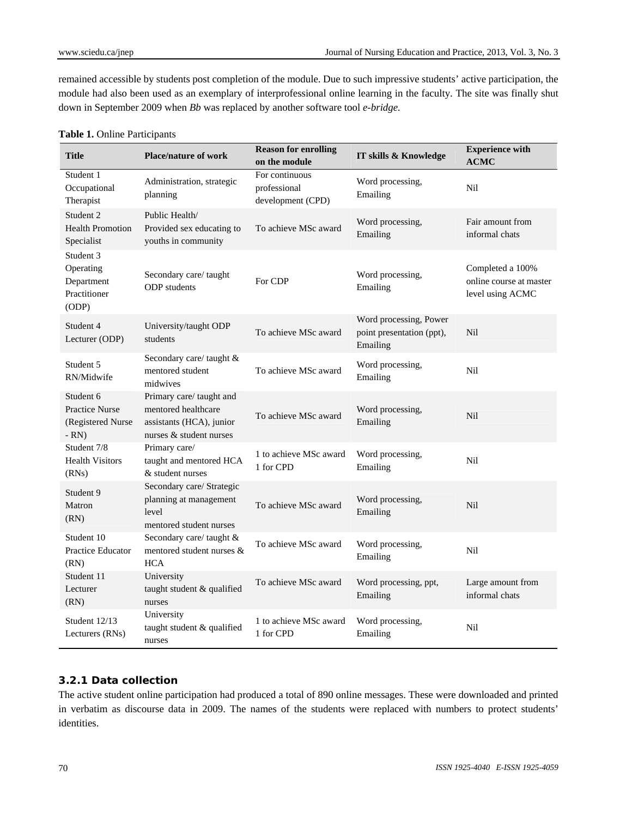remained accessible by students post completion of the module. Due to such impressive students' active participation, the module had also been used as an exemplary of interprofessional online learning in the faculty. The site was finally shut down in September 2009 when *Bb* was replaced by another software tool *e-bridge.* 

#### **Table 1.** Online Participants

| <b>Title</b>                                                      | <b>Place/nature of work</b>                                                                           | <b>Reason for enrolling</b><br>on the module        | IT skills & Knowledge                                           | <b>Experience with</b><br><b>ACMC</b>                           |
|-------------------------------------------------------------------|-------------------------------------------------------------------------------------------------------|-----------------------------------------------------|-----------------------------------------------------------------|-----------------------------------------------------------------|
| Student 1<br>Occupational<br>Therapist                            | Administration, strategic<br>planning                                                                 | For continuous<br>professional<br>development (CPD) | Word processing,<br>Emailing                                    | Nil                                                             |
| Student 2<br><b>Health Promotion</b><br>Specialist                | Public Health/<br>Provided sex educating to<br>youths in community                                    | To achieve MSc award                                | Word processing,<br>Emailing                                    | Fair amount from<br>informal chats                              |
| Student 3<br>Operating<br>Department<br>Practitioner<br>(ODP)     | Secondary care/taught<br><b>ODP</b> students                                                          | For CDP                                             | Word processing,<br>Emailing                                    | Completed a 100%<br>online course at master<br>level using ACMC |
| Student 4<br>Lecturer (ODP)                                       | University/taught ODP<br>students                                                                     | To achieve MSc award                                | Word processing, Power<br>point presentation (ppt),<br>Emailing | Nil                                                             |
| Student 5<br>RN/Midwife                                           | Secondary care/taught &<br>mentored student<br>midwives                                               | To achieve MSc award                                | Word processing,<br>Emailing                                    | Nil                                                             |
| Student 6<br><b>Practice Nurse</b><br>(Registered Nurse<br>$-RN)$ | Primary care/taught and<br>mentored healthcare<br>assistants (HCA), junior<br>nurses & student nurses | To achieve MSc award                                | Word processing,<br>Emailing                                    | Nil                                                             |
| Student 7/8<br><b>Health Visitors</b><br>(RNs)                    | Primary care/<br>taught and mentored HCA<br>& student nurses                                          | 1 to achieve MSc award<br>1 for CPD                 | Word processing,<br>Emailing                                    | Nil                                                             |
| Student <sub>9</sub><br>Matron<br>(RN)                            | Secondary care/ Strategic<br>planning at management<br>level<br>mentored student nurses               | To achieve MSc award                                | Word processing,<br>Emailing                                    | Nil                                                             |
| Student 10<br>Practice Educator<br>(RN)                           | Secondary care/taught &<br>mentored student nurses &<br><b>HCA</b>                                    | To achieve MSc award                                | Word processing,<br>Emailing                                    | Nil                                                             |
| Student 11<br>Lecturer<br>(RN)                                    | University<br>taught student & qualified<br>nurses                                                    | To achieve MSc award                                | Word processing, ppt,<br>Emailing                               | Large amount from<br>informal chats                             |
| Student 12/13<br>Lecturers (RNs)                                  | University<br>taught student & qualified<br>nurses                                                    | 1 to achieve MSc award<br>1 for CPD                 | Word processing,<br>Emailing                                    | Nil                                                             |

#### **3.2.1 Data collection**

The active student online participation had produced a total of 890 online messages. These were downloaded and printed in verbatim as discourse data in 2009. The names of the students were replaced with numbers to protect students' identities.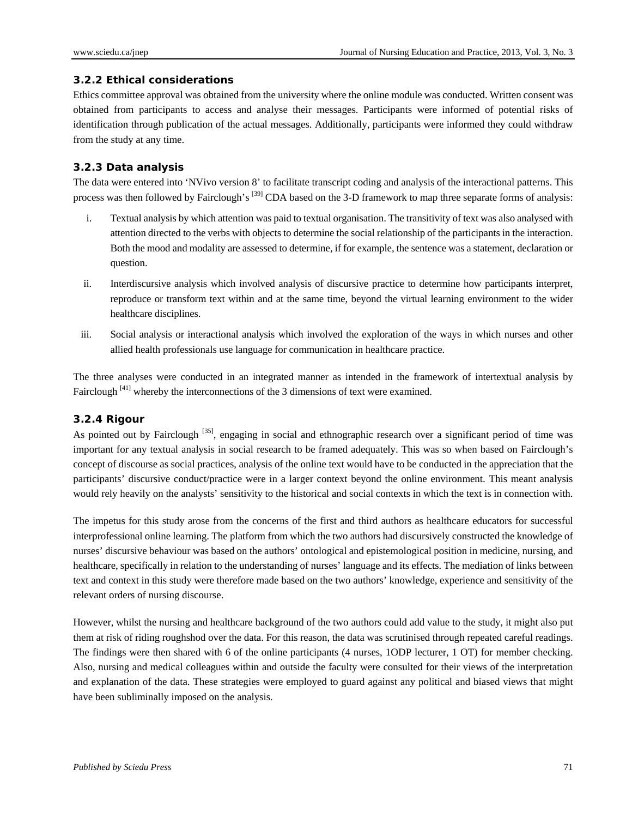#### **3.2.2 Ethical considerations**

Ethics committee approval was obtained from the university where the online module was conducted. Written consent was obtained from participants to access and analyse their messages. Participants were informed of potential risks of identification through publication of the actual messages. Additionally, participants were informed they could withdraw from the study at any time.

#### **3.2.3 Data analysis**

The data were entered into 'NVivo version 8' to facilitate transcript coding and analysis of the interactional patterns. This process was then followed by Fairclough's <sup>[39]</sup> CDA based on the 3-D framework to map three separate forms of analysis:

- i. Textual analysis by which attention was paid to textual organisation. The transitivity of text was also analysed with attention directed to the verbs with objects to determine the social relationship of the participants in the interaction. Both the mood and modality are assessed to determine, if for example, the sentence was a statement, declaration or question.
- ii. Interdiscursive analysis which involved analysis of discursive practice to determine how participants interpret, reproduce or transform text within and at the same time, beyond the virtual learning environment to the wider healthcare disciplines.
- iii. Social analysis or interactional analysis which involved the exploration of the ways in which nurses and other allied health professionals use language for communication in healthcare practice.

The three analyses were conducted in an integrated manner as intended in the framework of intertextual analysis by Fairclough<sup>[41]</sup> whereby the interconnections of the 3 dimensions of text were examined.

#### **3.2.4 Rigour**

As pointed out by Fairclough <sup>[35]</sup>, engaging in social and ethnographic research over a significant period of time was important for any textual analysis in social research to be framed adequately. This was so when based on Fairclough's concept of discourse as social practices, analysis of the online text would have to be conducted in the appreciation that the participants' discursive conduct/practice were in a larger context beyond the online environment. This meant analysis would rely heavily on the analysts' sensitivity to the historical and social contexts in which the text is in connection with.

The impetus for this study arose from the concerns of the first and third authors as healthcare educators for successful interprofessional online learning. The platform from which the two authors had discursively constructed the knowledge of nurses' discursive behaviour was based on the authors' ontological and epistemological position in medicine, nursing, and healthcare, specifically in relation to the understanding of nurses' language and its effects. The mediation of links between text and context in this study were therefore made based on the two authors' knowledge, experience and sensitivity of the relevant orders of nursing discourse.

However, whilst the nursing and healthcare background of the two authors could add value to the study, it might also put them at risk of riding roughshod over the data. For this reason, the data was scrutinised through repeated careful readings. The findings were then shared with 6 of the online participants (4 nurses, 1ODP lecturer, 1 OT) for member checking. Also, nursing and medical colleagues within and outside the faculty were consulted for their views of the interpretation and explanation of the data. These strategies were employed to guard against any political and biased views that might have been subliminally imposed on the analysis.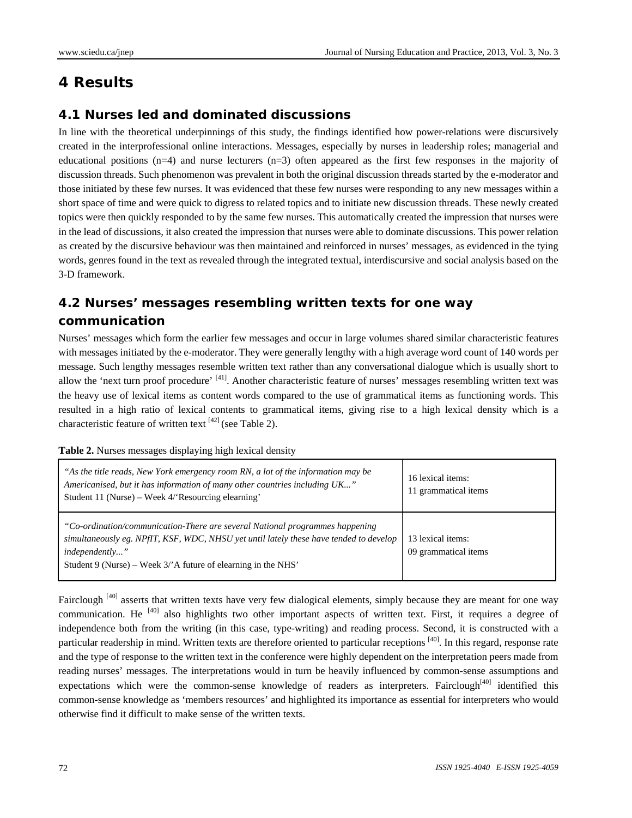# **4 Results**

### **4.1 Nurses led and dominated discussions**

In line with the theoretical underpinnings of this study, the findings identified how power-relations were discursively created in the interprofessional online interactions. Messages, especially by nurses in leadership roles; managerial and educational positions  $(n=4)$  and nurse lecturers  $(n=3)$  often appeared as the first few responses in the majority of discussion threads. Such phenomenon was prevalent in both the original discussion threads started by the e-moderator and those initiated by these few nurses. It was evidenced that these few nurses were responding to any new messages within a short space of time and were quick to digress to related topics and to initiate new discussion threads. These newly created topics were then quickly responded to by the same few nurses. This automatically created the impression that nurses were in the lead of discussions, it also created the impression that nurses were able to dominate discussions. This power relation as created by the discursive behaviour was then maintained and reinforced in nurses' messages, as evidenced in the tying words, genres found in the text as revealed through the integrated textual, interdiscursive and social analysis based on the 3-D framework.

### **4.2 Nurses' messages resembling written texts for one way communication**

Nurses' messages which form the earlier few messages and occur in large volumes shared similar characteristic features with messages initiated by the e-moderator. They were generally lengthy with a high average word count of 140 words per message. Such lengthy messages resemble written text rather than any conversational dialogue which is usually short to allow the 'next turn proof procedure' [41]. Another characteristic feature of nurses' messages resembling written text was the heavy use of lexical items as content words compared to the use of grammatical items as functioning words. This resulted in a high ratio of lexical contents to grammatical items, giving rise to a high lexical density which is a characteristic feature of written text  $[42]$  (see Table 2).

**Table 2.** Nurses messages displaying high lexical density

| "As the title reads, New York emergency room RN, a lot of the information may be<br>Americanised, but it has information of many other countries including UK"<br>Student 11 (Nurse) – Week 4/'Resourcing elearning'                                      | 16 lexical items:<br>11 grammatical items |
|-----------------------------------------------------------------------------------------------------------------------------------------------------------------------------------------------------------------------------------------------------------|-------------------------------------------|
| "Co-ordination/communication-There are several National programmes happening<br>simultaneously eg. NPfIT, KSF, WDC, NHSU yet until lately these have tended to develop<br>independently"<br>Student 9 (Nurse) – Week 3/'A future of elearning in the NHS' | 13 lexical items:<br>09 grammatical items |

Fairclough [40] asserts that written texts have very few dialogical elements, simply because they are meant for one way communication. He <sup>[40]</sup> also highlights two other important aspects of written text. First, it requires a degree of independence both from the writing (in this case, type-writing) and reading process. Second, it is constructed with a particular readership in mind. Written texts are therefore oriented to particular receptions [40]. In this regard, response rate and the type of response to the written text in the conference were highly dependent on the interpretation peers made from reading nurses' messages. The interpretations would in turn be heavily influenced by common-sense assumptions and expectations which were the common-sense knowledge of readers as interpreters. Fairclough<sup>[40]</sup> identified this common-sense knowledge as 'members resources' and highlighted its importance as essential for interpreters who would otherwise find it difficult to make sense of the written texts.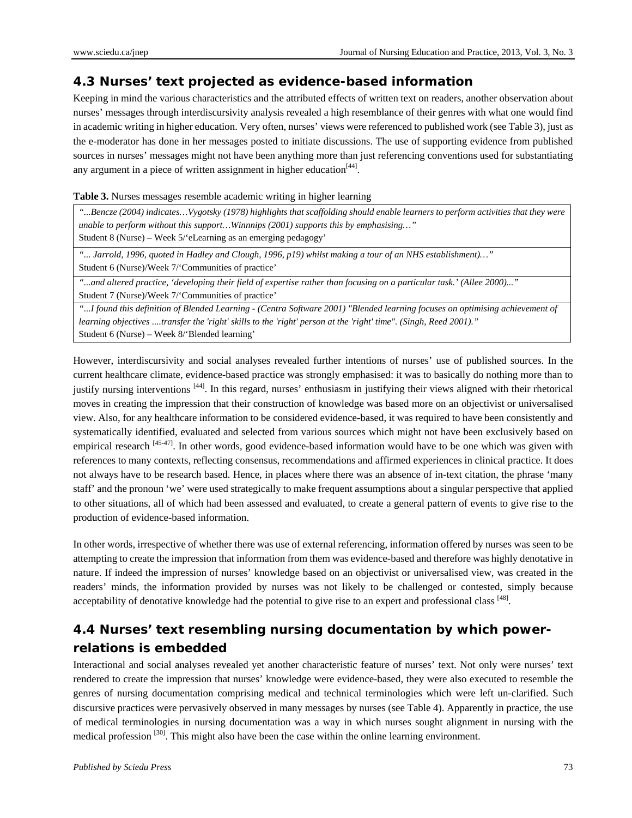### **4.3 Nurses' text projected as evidence-based information**

Keeping in mind the various characteristics and the attributed effects of written text on readers, another observation about nurses' messages through interdiscursivity analysis revealed a high resemblance of their genres with what one would find in academic writing in higher education. Very often, nurses' views were referenced to published work (see Table 3), just as the e-moderator has done in her messages posted to initiate discussions. The use of supporting evidence from published sources in nurses' messages might not have been anything more than just referencing conventions used for substantiating any argument in a piece of written assignment in higher education<sup>[44]</sup>.

#### **Table 3.** Nurses messages resemble academic writing in higher learning

*"...Bencze (2004) indicates…Vygotsky (1978) highlights that scaffolding should enable learners to perform activities that they were unable to perform without this support…Winnnips (2001) supports this by emphasising…"*  Student 8 (Nurse) – Week 5/'eLearning as an emerging pedagogy'

*"... Jarrold, 1996, quoted in Hadley and Clough, 1996, p19) whilst making a tour of an NHS establishment)…"*  Student 6 (Nurse)/Week 7/'Communities of practice'

*"...and altered practice, 'developing their field of expertise rather than focusing on a particular task.' (Allee 2000)..."*  Student 7 (Nurse)/Week 7/'Communities of practice'

*"...I found this definition of Blended Learning - (Centra Software 2001) "Blended learning focuses on optimising achievement of learning objectives ....transfer the 'right' skills to the 'right' person at the 'right' time". (Singh, Reed 2001)."*  Student 6 (Nurse) – Week 8/'Blended learning'

However, interdiscursivity and social analyses revealed further intentions of nurses' use of published sources. In the current healthcare climate, evidence-based practice was strongly emphasised: it was to basically do nothing more than to justify nursing interventions [44]. In this regard, nurses' enthusiasm in justifying their views aligned with their rhetorical moves in creating the impression that their construction of knowledge was based more on an objectivist or universalised view. Also, for any healthcare information to be considered evidence-based, it was required to have been consistently and systematically identified, evaluated and selected from various sources which might not have been exclusively based on empirical research  $[45-47]$ . In other words, good evidence-based information would have to be one which was given with references to many contexts, reflecting consensus, recommendations and affirmed experiences in clinical practice. It does not always have to be research based. Hence, in places where there was an absence of in-text citation, the phrase 'many staff' and the pronoun 'we' were used strategically to make frequent assumptions about a singular perspective that applied to other situations, all of which had been assessed and evaluated, to create a general pattern of events to give rise to the production of evidence-based information.

In other words, irrespective of whether there was use of external referencing, information offered by nurses was seen to be attempting to create the impression that information from them was evidence-based and therefore was highly denotative in nature. If indeed the impression of nurses' knowledge based on an objectivist or universalised view, was created in the readers' minds, the information provided by nurses was not likely to be challenged or contested, simply because acceptability of denotative knowledge had the potential to give rise to an expert and professional class [48].

# **4.4 Nurses' text resembling nursing documentation by which powerrelations is embedded**

Interactional and social analyses revealed yet another characteristic feature of nurses' text. Not only were nurses' text rendered to create the impression that nurses' knowledge were evidence-based, they were also executed to resemble the genres of nursing documentation comprising medical and technical terminologies which were left un-clarified. Such discursive practices were pervasively observed in many messages by nurses (see Table 4). Apparently in practice, the use of medical terminologies in nursing documentation was a way in which nurses sought alignment in nursing with the medical profession  $[30]$ . This might also have been the case within the online learning environment.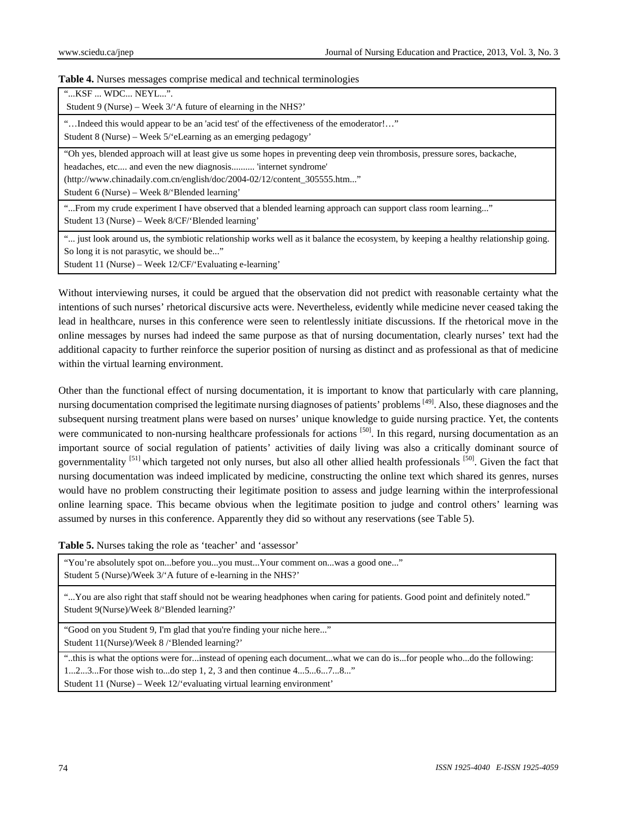**Table 4.** Nurses messages comprise medical and technical terminologies

"...KSF ... WDC... NEYL...".

Student 9 (Nurse) – Week 3/'A future of elearning in the NHS?'

"…Indeed this would appear to be an 'acid test' of the effectiveness of the emoderator!…"

Student 8 (Nurse) – Week 5/'eLearning as an emerging pedagogy'

"Oh yes, blended approach will at least give us some hopes in preventing deep vein thrombosis, pressure sores, backache, headaches, etc.... and even the new diagnosis.......... 'internet syndrome'

(http://www.chinadaily.com.cn/english/doc/2004-02/12/content\_305555.htm..."

Student 6 (Nurse) – Week 8/'Blended learning'

"...From my crude experiment I have observed that a blended learning approach can support class room learning..." Student 13 (Nurse) – Week 8/CF/'Blended learning'

"... just look around us, the symbiotic relationship works well as it balance the ecosystem, by keeping a healthy relationship going. So long it is not parasytic, we should be..."

Student 11 (Nurse) – Week 12/CF/'Evaluating e-learning'

Without interviewing nurses, it could be argued that the observation did not predict with reasonable certainty what the intentions of such nurses' rhetorical discursive acts were. Nevertheless, evidently while medicine never ceased taking the lead in healthcare, nurses in this conference were seen to relentlessly initiate discussions. If the rhetorical move in the online messages by nurses had indeed the same purpose as that of nursing documentation, clearly nurses' text had the additional capacity to further reinforce the superior position of nursing as distinct and as professional as that of medicine within the virtual learning environment.

Other than the functional effect of nursing documentation, it is important to know that particularly with care planning, nursing documentation comprised the legitimate nursing diagnoses of patients' problems <sup>[49]</sup>. Also, these diagnoses and the subsequent nursing treatment plans were based on nurses' unique knowledge to guide nursing practice. Yet, the contents were communicated to non-nursing healthcare professionals for actions  $[50]$ . In this regard, nursing documentation as an important source of social regulation of patients' activities of daily living was also a critically dominant source of governmentality <sup>[51]</sup> which targeted not only nurses, but also all other allied health professionals <sup>[50]</sup>. Given the fact that nursing documentation was indeed implicated by medicine, constructing the online text which shared its genres, nurses would have no problem constructing their legitimate position to assess and judge learning within the interprofessional online learning space. This became obvious when the legitimate position to judge and control others' learning was assumed by nurses in this conference. Apparently they did so without any reservations (see Table 5).

**Table 5.** Nurses taking the role as 'teacher' and 'assessor'

"You're absolutely spot on...before you...you must...Your comment on...was a good one..." Student 5 (Nurse)/Week 3/'A future of e-learning in the NHS?'

"...You are also right that staff should not be wearing headphones when caring for patients. Good point and definitely noted." Student 9(Nurse)/Week 8/'Blended learning?'

"Good on you Student 9, I'm glad that you're finding your niche here..."

Student 11(Nurse)/Week 8 /'Blended learning?'

"..this is what the options were for...instead of opening each document...what we can do is...for people who...do the following:

1...2...3...For those wish to...do step 1, 2, 3 and then continue 4...5...6...7...8..."

Student 11 (Nurse) – Week 12/'evaluating virtual learning environment'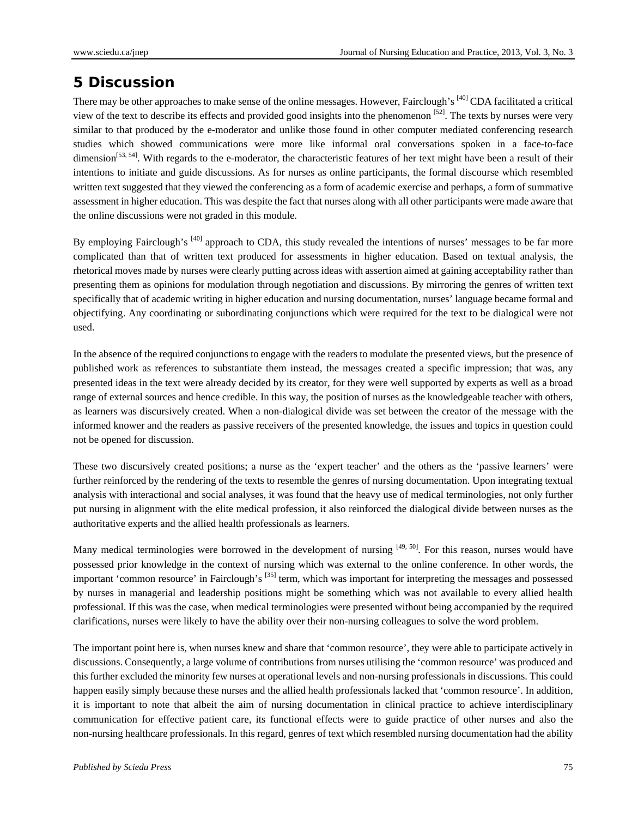# **5 Discussion**

There may be other approaches to make sense of the online messages. However, Fairclough's [40] CDA facilitated a critical view of the text to describe its effects and provided good insights into the phenomenon [52]. The texts by nurses were very similar to that produced by the e-moderator and unlike those found in other computer mediated conferencing research studies which showed communications were more like informal oral conversations spoken in a face-to-face dimension<sup>[53, 54]</sup>. With regards to the e-moderator, the characteristic features of her text might have been a result of their intentions to initiate and guide discussions. As for nurses as online participants, the formal discourse which resembled written text suggested that they viewed the conferencing as a form of academic exercise and perhaps, a form of summative assessment in higher education. This was despite the fact that nurses along with all other participants were made aware that the online discussions were not graded in this module.

By employing Fairclough's <sup>[40]</sup> approach to CDA, this study revealed the intentions of nurses' messages to be far more complicated than that of written text produced for assessments in higher education. Based on textual analysis, the rhetorical moves made by nurses were clearly putting across ideas with assertion aimed at gaining acceptability rather than presenting them as opinions for modulation through negotiation and discussions. By mirroring the genres of written text specifically that of academic writing in higher education and nursing documentation, nurses' language became formal and objectifying. Any coordinating or subordinating conjunctions which were required for the text to be dialogical were not used.

In the absence of the required conjunctions to engage with the readers to modulate the presented views, but the presence of published work as references to substantiate them instead, the messages created a specific impression; that was, any presented ideas in the text were already decided by its creator, for they were well supported by experts as well as a broad range of external sources and hence credible. In this way, the position of nurses as the knowledgeable teacher with others, as learners was discursively created. When a non-dialogical divide was set between the creator of the message with the informed knower and the readers as passive receivers of the presented knowledge, the issues and topics in question could not be opened for discussion.

These two discursively created positions; a nurse as the 'expert teacher' and the others as the 'passive learners' were further reinforced by the rendering of the texts to resemble the genres of nursing documentation. Upon integrating textual analysis with interactional and social analyses, it was found that the heavy use of medical terminologies, not only further put nursing in alignment with the elite medical profession, it also reinforced the dialogical divide between nurses as the authoritative experts and the allied health professionals as learners.

Many medical terminologies were borrowed in the development of nursing  $[49, 50]$ . For this reason, nurses would have possessed prior knowledge in the context of nursing which was external to the online conference. In other words, the important 'common resource' in Fairclough's <sup>[35]</sup> term, which was important for interpreting the messages and possessed by nurses in managerial and leadership positions might be something which was not available to every allied health professional. If this was the case, when medical terminologies were presented without being accompanied by the required clarifications, nurses were likely to have the ability over their non-nursing colleagues to solve the word problem.

The important point here is, when nurses knew and share that 'common resource', they were able to participate actively in discussions. Consequently, a large volume of contributions from nurses utilising the 'common resource' was produced and this further excluded the minority few nurses at operational levels and non-nursing professionals in discussions. This could happen easily simply because these nurses and the allied health professionals lacked that 'common resource'. In addition, it is important to note that albeit the aim of nursing documentation in clinical practice to achieve interdisciplinary communication for effective patient care, its functional effects were to guide practice of other nurses and also the non-nursing healthcare professionals. In this regard, genres of text which resembled nursing documentation had the ability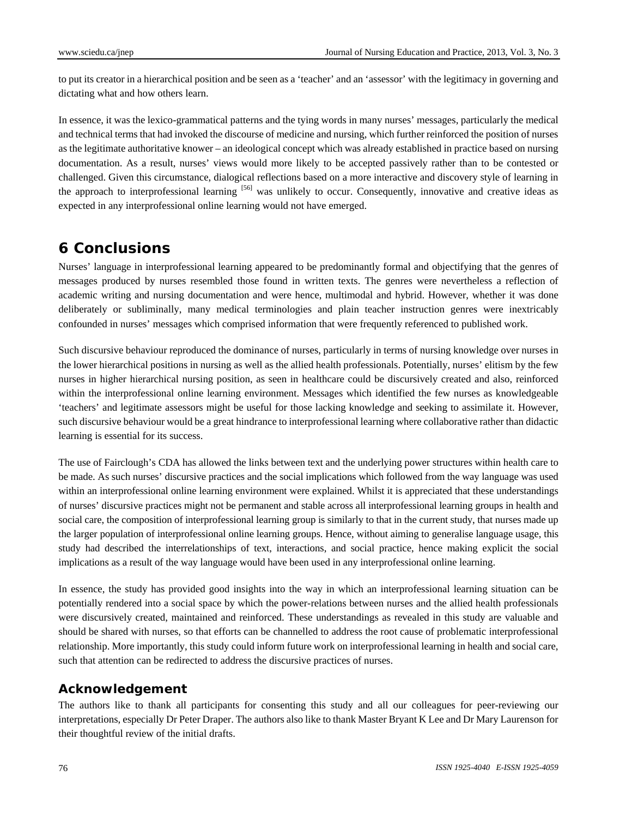to put its creator in a hierarchical position and be seen as a 'teacher' and an 'assessor' with the legitimacy in governing and dictating what and how others learn.

In essence, it was the lexico-grammatical patterns and the tying words in many nurses' messages, particularly the medical and technical terms that had invoked the discourse of medicine and nursing, which further reinforced the position of nurses as the legitimate authoritative knower – an ideological concept which was already established in practice based on nursing documentation. As a result, nurses' views would more likely to be accepted passively rather than to be contested or challenged. Given this circumstance, dialogical reflections based on a more interactive and discovery style of learning in the approach to interprofessional learning  $[56]$  was unlikely to occur. Consequently, innovative and creative ideas as expected in any interprofessional online learning would not have emerged.

# **6 Conclusions**

Nurses' language in interprofessional learning appeared to be predominantly formal and objectifying that the genres of messages produced by nurses resembled those found in written texts. The genres were nevertheless a reflection of academic writing and nursing documentation and were hence, multimodal and hybrid. However, whether it was done deliberately or subliminally, many medical terminologies and plain teacher instruction genres were inextricably confounded in nurses' messages which comprised information that were frequently referenced to published work.

Such discursive behaviour reproduced the dominance of nurses, particularly in terms of nursing knowledge over nurses in the lower hierarchical positions in nursing as well as the allied health professionals. Potentially, nurses' elitism by the few nurses in higher hierarchical nursing position, as seen in healthcare could be discursively created and also, reinforced within the interprofessional online learning environment. Messages which identified the few nurses as knowledgeable 'teachers' and legitimate assessors might be useful for those lacking knowledge and seeking to assimilate it. However, such discursive behaviour would be a great hindrance to interprofessional learning where collaborative rather than didactic learning is essential for its success.

The use of Fairclough's CDA has allowed the links between text and the underlying power structures within health care to be made. As such nurses' discursive practices and the social implications which followed from the way language was used within an interprofessional online learning environment were explained. Whilst it is appreciated that these understandings of nurses' discursive practices might not be permanent and stable across all interprofessional learning groups in health and social care, the composition of interprofessional learning group is similarly to that in the current study, that nurses made up the larger population of interprofessional online learning groups. Hence, without aiming to generalise language usage, this study had described the interrelationships of text, interactions, and social practice, hence making explicit the social implications as a result of the way language would have been used in any interprofessional online learning.

In essence, the study has provided good insights into the way in which an interprofessional learning situation can be potentially rendered into a social space by which the power-relations between nurses and the allied health professionals were discursively created, maintained and reinforced. These understandings as revealed in this study are valuable and should be shared with nurses, so that efforts can be channelled to address the root cause of problematic interprofessional relationship. More importantly, this study could inform future work on interprofessional learning in health and social care, such that attention can be redirected to address the discursive practices of nurses.

### **Acknowledgement**

The authors like to thank all participants for consenting this study and all our colleagues for peer-reviewing our interpretations, especially Dr Peter Draper. The authors also like to thank Master Bryant K Lee and Dr Mary Laurenson for their thoughtful review of the initial drafts.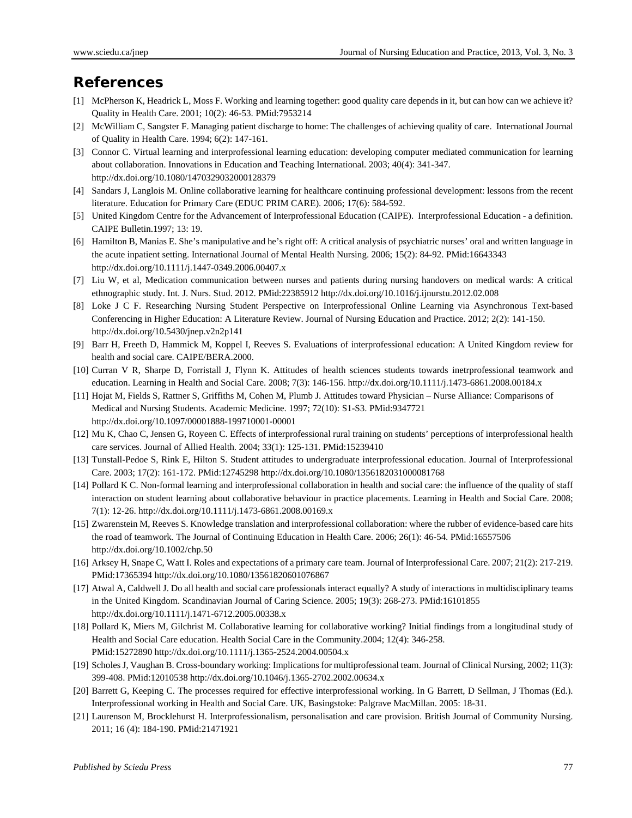# **References**

- [1] McPherson K, Headrick L, Moss F. Working and learning together: good quality care depends in it, but can how can we achieve it? Quality in Health Care. 2001; 10(2): 46-53. PMid:7953214
- [2] McWilliam C, Sangster F. Managing patient discharge to home: The challenges of achieving quality of care. International Journal of Quality in Health Care. 1994; 6(2): 147-161.
- [3] Connor C. Virtual learning and interprofessional learning education: developing computer mediated communication for learning about collaboration. Innovations in Education and Teaching International. 2003; 40(4): 341-347. http://dx.doi.org/10.1080/1470329032000128379
- [4] Sandars J, Langlois M. Online collaborative learning for healthcare continuing professional development: lessons from the recent literature. Education for Primary Care (EDUC PRIM CARE). 2006; 17(6): 584-592.
- [5] United Kingdom Centre for the Advancement of Interprofessional Education (CAIPE). Interprofessional Education a definition. CAIPE Bulletin.1997; 13: 19.
- [6] Hamilton B, Manias E. She's manipulative and he's right off: A critical analysis of psychiatric nurses' oral and written language in the acute inpatient setting. International Journal of Mental Health Nursing. 2006; 15(2): 84-92. PMid:16643343 http://dx.doi.org/10.1111/j.1447-0349.2006.00407.x
- [7] Liu W, et al, Medication communication between nurses and patients during nursing handovers on medical wards: A critical ethnographic study. Int. J. Nurs. Stud. 2012. PMid:22385912 http://dx.doi.org/10.1016/j.ijnurstu.2012.02.008
- [8] Loke J C F. Researching Nursing Student Perspective on Interprofessional Online Learning via Asynchronous Text-based Conferencing in Higher Education: A Literature Review. Journal of Nursing Education and Practice. 2012; 2(2): 141-150. http://dx.doi.org/10.5430/jnep.v2n2p141
- [9] Barr H, Freeth D, Hammick M, Koppel I, Reeves S. Evaluations of interprofessional education: A United Kingdom review for health and social care. CAIPE/BERA.2000.
- [10] Curran V R, Sharpe D, Forristall J, Flynn K. Attitudes of health sciences students towards inetrprofessional teamwork and education. Learning in Health and Social Care. 2008; 7(3): 146-156. http://dx.doi.org/10.1111/j.1473-6861.2008.00184.x
- [11] Hojat M, Fields S, Rattner S, Griffiths M, Cohen M, Plumb J. Attitudes toward Physician Nurse Alliance: Comparisons of Medical and Nursing Students. Academic Medicine. 1997; 72(10): S1-S3. PMid:9347721 http://dx.doi.org/10.1097/00001888-199710001-00001
- [12] Mu K, Chao C, Jensen G, Royeen C. Effects of interprofessional rural training on students' perceptions of interprofessional health care services. Journal of Allied Health. 2004; 33(1): 125-131. PMid:15239410
- [13] Tunstall-Pedoe S, Rink E, Hilton S. Student attitudes to undergraduate interprofessional education. Journal of Interprofessional Care. 2003; 17(2): 161-172. PMid:12745298 http://dx.doi.org/10.1080/1356182031000081768
- [14] Pollard K C. Non-formal learning and interprofessional collaboration in health and social care: the influence of the quality of staff interaction on student learning about collaborative behaviour in practice placements. Learning in Health and Social Care. 2008; 7(1): 12-26. http://dx.doi.org/10.1111/j.1473-6861.2008.00169.x
- [15] Zwarenstein M, Reeves S. Knowledge translation and interprofessional collaboration: where the rubber of evidence-based care hits the road of teamwork. The Journal of Continuing Education in Health Care. 2006; 26(1): 46-54. PMid:16557506 http://dx.doi.org/10.1002/chp.50
- [16] Arksey H, Snape C, Watt I. Roles and expectations of a primary care team. Journal of Interprofessional Care. 2007; 21(2): 217-219. PMid:17365394 http://dx.doi.org/10.1080/13561820601076867
- [17] Atwal A, Caldwell J. Do all health and social care professionals interact equally? A study of interactions in multidisciplinary teams in the United Kingdom. Scandinavian Journal of Caring Science. 2005; 19(3): 268-273. PMid:16101855 http://dx.doi.org/10.1111/j.1471-6712.2005.00338.x
- [18] Pollard K, Miers M, Gilchrist M. Collaborative learning for collaborative working? Initial findings from a longitudinal study of Health and Social Care education. Health Social Care in the Community.2004; 12(4): 346-258. PMid:15272890 http://dx.doi.org/10.1111/j.1365-2524.2004.00504.x
- [19] Scholes J, Vaughan B. Cross-boundary working: Implications for multiprofessional team. Journal of Clinical Nursing, 2002; 11(3): 399-408. PMid:12010538 http://dx.doi.org/10.1046/j.1365-2702.2002.00634.x
- [20] Barrett G, Keeping C. The processes required for effective interprofessional working. In G Barrett, D Sellman, J Thomas (Ed.). Interprofessional working in Health and Social Care. UK, Basingstoke: Palgrave MacMillan. 2005: 18-31.
- [21] Laurenson M, Brocklehurst H. Interprofessionalism, personalisation and care provision. British Journal of Community Nursing. 2011; 16 (4): 184-190. PMid:21471921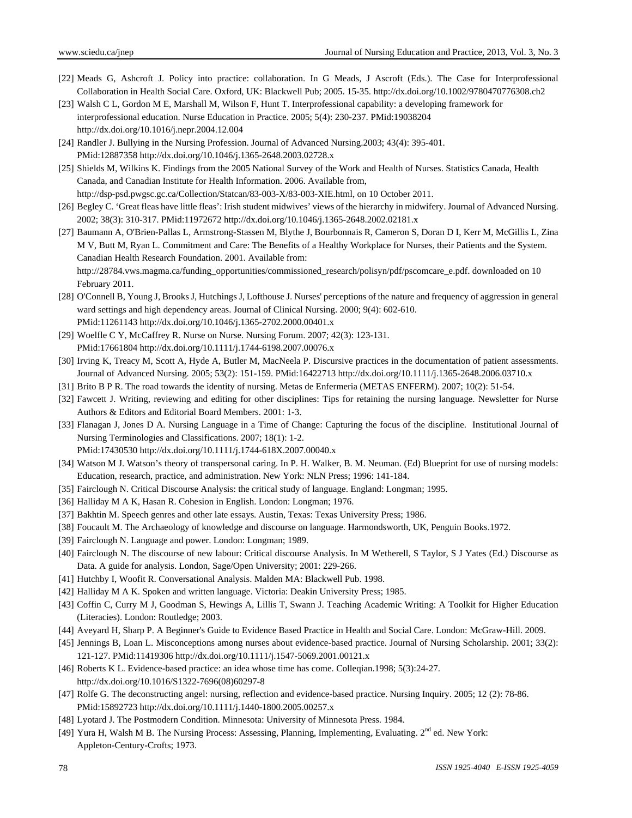- [22] Meads G, Ashcroft J. Policy into practice: collaboration. In G Meads, J Ascroft (Eds.). The Case for Interprofessional Collaboration in Health Social Care. Oxford, UK: Blackwell Pub; 2005. 15-35. http://dx.doi.org/10.1002/9780470776308.ch2
- [23] Walsh C L, Gordon M E, Marshall M, Wilson F, Hunt T. Interprofessional capability: a developing framework for interprofessional education. Nurse Education in Practice. 2005; 5(4): 230-237. PMid:19038204 http://dx.doi.org/10.1016/j.nepr.2004.12.004
- [24] Randler J. Bullying in the Nursing Profession. Journal of Advanced Nursing.2003; 43(4): 395-401. PMid:12887358 http://dx.doi.org/10.1046/j.1365-2648.2003.02728.x
- [25] Shields M, Wilkins K. Findings from the 2005 National Survey of the Work and Health of Nurses. Statistics Canada, Health Canada, and Canadian Institute for Health Information. 2006. Available from, http://dsp-psd.pwgsc.gc.ca/Collection/Statcan/83-003-X/83-003-XIE.html, on 10 October 2011.
- [26] Begley C. 'Great fleas have little fleas': Irish student midwives' views of the hierarchy in midwifery. Journal of Advanced Nursing. 2002; 38(3): 310-317. PMid:11972672 http://dx.doi.org/10.1046/j.1365-2648.2002.02181.x
- [27] Baumann A, O'Brien-Pallas L, Armstrong-Stassen M, Blythe J, Bourbonnais R, Cameron S, Doran D I, Kerr M, McGillis L, Zina M V, Butt M, Ryan L. Commitment and Care: The Benefits of a Healthy Workplace for Nurses, their Patients and the System. Canadian Health Research Foundation. 2001. Available from: http://28784.vws.magma.ca/funding\_opportunities/commissioned\_research/polisyn/pdf/pscomcare\_e.pdf. downloaded on 10 February 2011.
- [28] O'Connell B, Young J, Brooks J, Hutchings J, Lofthouse J. Nurses' perceptions of the nature and frequency of aggression in general ward settings and high dependency areas. Journal of Clinical Nursing. 2000; 9(4): 602-610. PMid:11261143 http://dx.doi.org/10.1046/j.1365-2702.2000.00401.x
- [29] Woelfle C Y, McCaffrey R. Nurse on Nurse. Nursing Forum. 2007; 42(3): 123-131. PMid:17661804 http://dx.doi.org/10.1111/j.1744-6198.2007.00076.x
- [30] Irving K, Treacy M, Scott A, Hyde A, Butler M, MacNeela P. Discursive practices in the documentation of patient assessments. Journal of Advanced Nursing. 2005; 53(2): 151-159. PMid:16422713 http://dx.doi.org/10.1111/j.1365-2648.2006.03710.x
- [31] Brito B P R. The road towards the identity of nursing. Metas de Enfermeria (METAS ENFERM). 2007; 10(2): 51-54.
- [32] Fawcett J. Writing, reviewing and editing for other disciplines: Tips for retaining the nursing language. Newsletter for Nurse Authors & Editors and Editorial Board Members. 2001: 1-3.
- [33] Flanagan J, Jones D A. Nursing Language in a Time of Change: Capturing the focus of the discipline. Institutional Journal of Nursing Terminologies and Classifications. 2007; 18(1): 1-2. PMid:17430530 http://dx.doi.org/10.1111/j.1744-618X.2007.00040.x
- [34] Watson M J. Watson's theory of transpersonal caring. In P. H. Walker, B. M. Neuman. (Ed) Blueprint for use of nursing models: Education, research, practice, and administration. New York: NLN Press; 1996: 141-184.
- [35] Fairclough N. Critical Discourse Analysis: the critical study of language. England: Longman; 1995.
- [36] Halliday M A K, Hasan R. Cohesion in English. London: Longman; 1976.
- [37] Bakhtin M. Speech genres and other late essays. Austin, Texas: Texas University Press; 1986.
- [38] Foucault M. The Archaeology of knowledge and discourse on language. Harmondsworth, UK, Penguin Books.1972.
- [39] Fairclough N. Language and power. London: Longman; 1989.
- [40] Fairclough N. The discourse of new labour: Critical discourse Analysis. In M Wetherell, S Taylor, S J Yates (Ed.) Discourse as Data. A guide for analysis. London, Sage/Open University; 2001: 229-266.
- [41] Hutchby I, Woofit R. Conversational Analysis. Malden MA: Blackwell Pub. 1998.
- [42] Halliday M A K. Spoken and written language. Victoria: Deakin University Press; 1985.
- [43] Coffin C, Curry M J, Goodman S, Hewings A, Lillis T, Swann J. Teaching Academic Writing: A Toolkit for Higher Education (Literacies). London: Routledge; 2003.
- [44] Aveyard H, Sharp P. A Beginner's Guide to Evidence Based Practice in Health and Social Care. London: McGraw-Hill. 2009.
- [45] Jennings B, Loan L. Misconceptions among nurses about evidence-based practice. Journal of Nursing Scholarship. 2001; 33(2): 121-127. PMid:11419306 http://dx.doi.org/10.1111/j.1547-5069.2001.00121.x
- [46] Roberts K L. Evidence-based practice: an idea whose time has come. Colleqian.1998; 5(3):24-27. http://dx.doi.org/10.1016/S1322-7696(08)60297-8
- [47] Rolfe G. The deconstructing angel: nursing, reflection and evidence-based practice. Nursing Inquiry. 2005; 12 (2): 78-86. PMid:15892723 http://dx.doi.org/10.1111/j.1440-1800.2005.00257.x
- [48] Lyotard J. The Postmodern Condition. Minnesota: University of Minnesota Press. 1984.
- [49] Yura H, Walsh M B. The Nursing Process: Assessing, Planning, Implementing, Evaluating. 2nd ed. New York: Appleton-Century-Crofts; 1973.